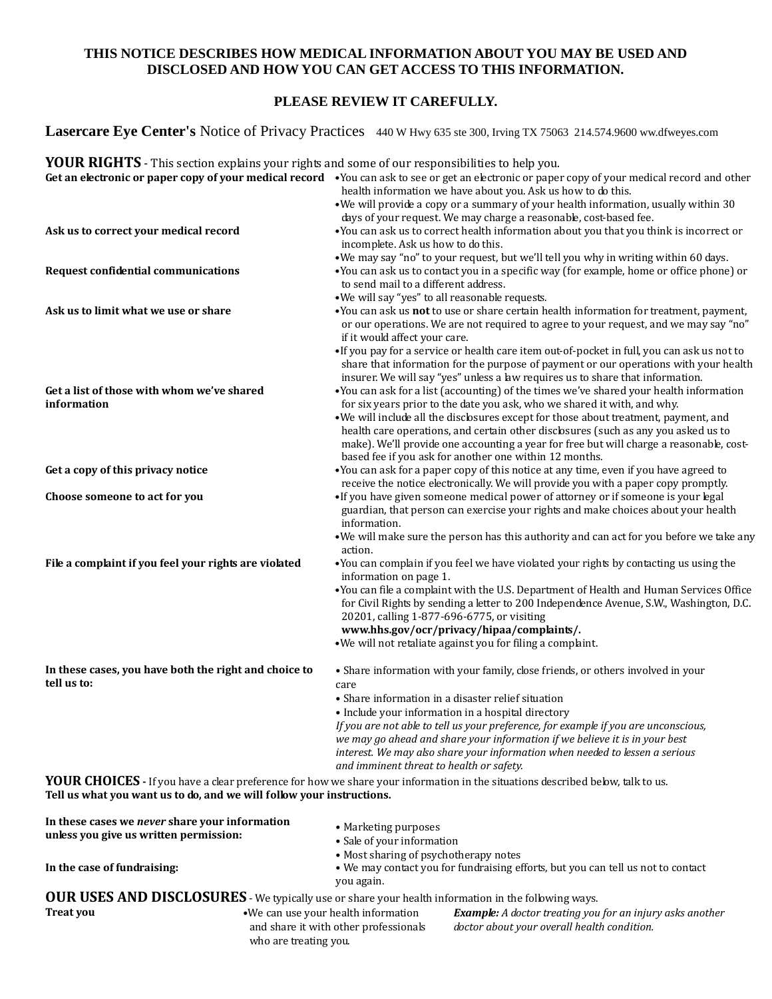## **THIS NOTICE DESCRIBES HOW MEDICAL INFORMATION ABOUT YOU MAY BE USED AND DISCLOSED AND HOW YOU CAN GET ACCESS TO THIS INFORMATION.**

## **PLEASE REVIEW IT CAREFULLY.**

**Lasercare Eye Center's** Notice of Privacy Practices 440 W Hwy 635 ste 300, Irving TX 75063 214.574.9600 ww.dfweyes.com

**YOUR RIGHTS** - This section explains your rights and some of our responsibilities to help you.

|                                                                      | Get an electronic or paper copy of your medical record •You can ask to see or get an electronic or paper copy of your medical record and other<br>health information we have about you. Ask us how to do this.<br>•We will provide a copy or a summary of your health information, usually within 30 |
|----------------------------------------------------------------------|------------------------------------------------------------------------------------------------------------------------------------------------------------------------------------------------------------------------------------------------------------------------------------------------------|
|                                                                      | days of your request. We may charge a reasonable, cost-based fee.                                                                                                                                                                                                                                    |
| Ask us to correct your medical record                                | •You can ask us to correct health information about you that you think is incorrect or<br>incomplete. Ask us how to do this.                                                                                                                                                                         |
|                                                                      | . We may say "no" to your request, but we'll tell you why in writing within 60 days.                                                                                                                                                                                                                 |
| <b>Request confidential communications</b>                           | •You can ask us to contact you in a specific way (for example, home or office phone) or<br>to send mail to a different address.                                                                                                                                                                      |
|                                                                      | . We will say "yes" to all reasonable requests.                                                                                                                                                                                                                                                      |
| Ask us to limit what we use or share                                 | •You can ask us not to use or share certain health information for treatment, payment,<br>or our operations. We are not required to agree to your request, and we may say "no"<br>if it would affect your care.                                                                                      |
|                                                                      | •If you pay for a service or health care item out-of-pocket in full, you can ask us not to<br>share that information for the purpose of payment or our operations with your health<br>insurer. We will say "yes" unless a law requires us to share that information.                                 |
| Get a list of those with whom we've shared                           | •You can ask for a list (accounting) of the times we've shared your health information                                                                                                                                                                                                               |
| information                                                          | for six years prior to the date you ask, who we shared it with, and why.                                                                                                                                                                                                                             |
|                                                                      | . We will include all the disclosures except for those about treatment, payment, and                                                                                                                                                                                                                 |
|                                                                      | health care operations, and certain other disclosures (such as any you asked us to                                                                                                                                                                                                                   |
|                                                                      | make). We'll provide one accounting a year for free but will charge a reasonable, cost-                                                                                                                                                                                                              |
| Get a copy of this privacy notice                                    | based fee if you ask for another one within 12 months.<br>•You can ask for a paper copy of this notice at any time, even if you have agreed to                                                                                                                                                       |
|                                                                      | receive the notice electronically. We will provide you with a paper copy promptly.                                                                                                                                                                                                                   |
| Choose someone to act for you                                        | •If you have given someone medical power of attorney or if someone is your legal                                                                                                                                                                                                                     |
|                                                                      | guardian, that person can exercise your rights and make choices about your health<br>information.                                                                                                                                                                                                    |
|                                                                      | . We will make sure the person has this authority and can act for you before we take any<br>action.                                                                                                                                                                                                  |
| File a complaint if you feel your rights are violated                | •You can complain if you feel we have violated your rights by contacting us using the<br>information on page 1.                                                                                                                                                                                      |
|                                                                      | •You can file a complaint with the U.S. Department of Health and Human Services Office<br>for Civil Rights by sending a letter to 200 Independence Avenue, S.W., Washington, D.C.<br>20201, calling 1-877-696-6775, or visiting                                                                      |
|                                                                      | www.hhs.gov/ocr/privacy/hipaa/complaints/.<br>•We will not retaliate against you for filing a complaint.                                                                                                                                                                                             |
|                                                                      |                                                                                                                                                                                                                                                                                                      |
| In these cases, you have both the right and choice to<br>tell us to: | • Share information with your family, close friends, or others involved in your<br>care                                                                                                                                                                                                              |
|                                                                      | • Share information in a disaster relief situation                                                                                                                                                                                                                                                   |
|                                                                      | • Include your information in a hospital directory                                                                                                                                                                                                                                                   |
|                                                                      | If you are not able to tell us your preference, for example if you are unconscious,                                                                                                                                                                                                                  |
|                                                                      | we may go ahead and share your information if we believe it is in your best                                                                                                                                                                                                                          |
|                                                                      | interest. We may also share your information when needed to lessen a serious<br>and imminent threat to health or safety.                                                                                                                                                                             |

YOUR CHOICES - If you have a clear preference for how we share your information in the situations described below, talk to us. **Tell us what you want us to do, and we will follow your instructions.**

| In these cases we never share your information<br>unless you give us written permission: | • Marketing purposes<br>• Sale of your information<br>• Most sharing of psychotherapy notes                |                                                                                                                 |  |  |
|------------------------------------------------------------------------------------------|------------------------------------------------------------------------------------------------------------|-----------------------------------------------------------------------------------------------------------------|--|--|
| In the case of fundraising:                                                              | you again.                                                                                                 | • We may contact you for fundraising efforts, but you can tell us not to contact                                |  |  |
|                                                                                          | <b>OUR USES AND DISCLOSURES</b> - We typically use or share your health information in the following ways. |                                                                                                                 |  |  |
| <b>Treat you</b>                                                                         | • We can use your health information<br>and share it with other professionals<br>who are treating you.     | <b>Example:</b> A doctor treating you for an injury asks another<br>doctor about your overall health condition. |  |  |